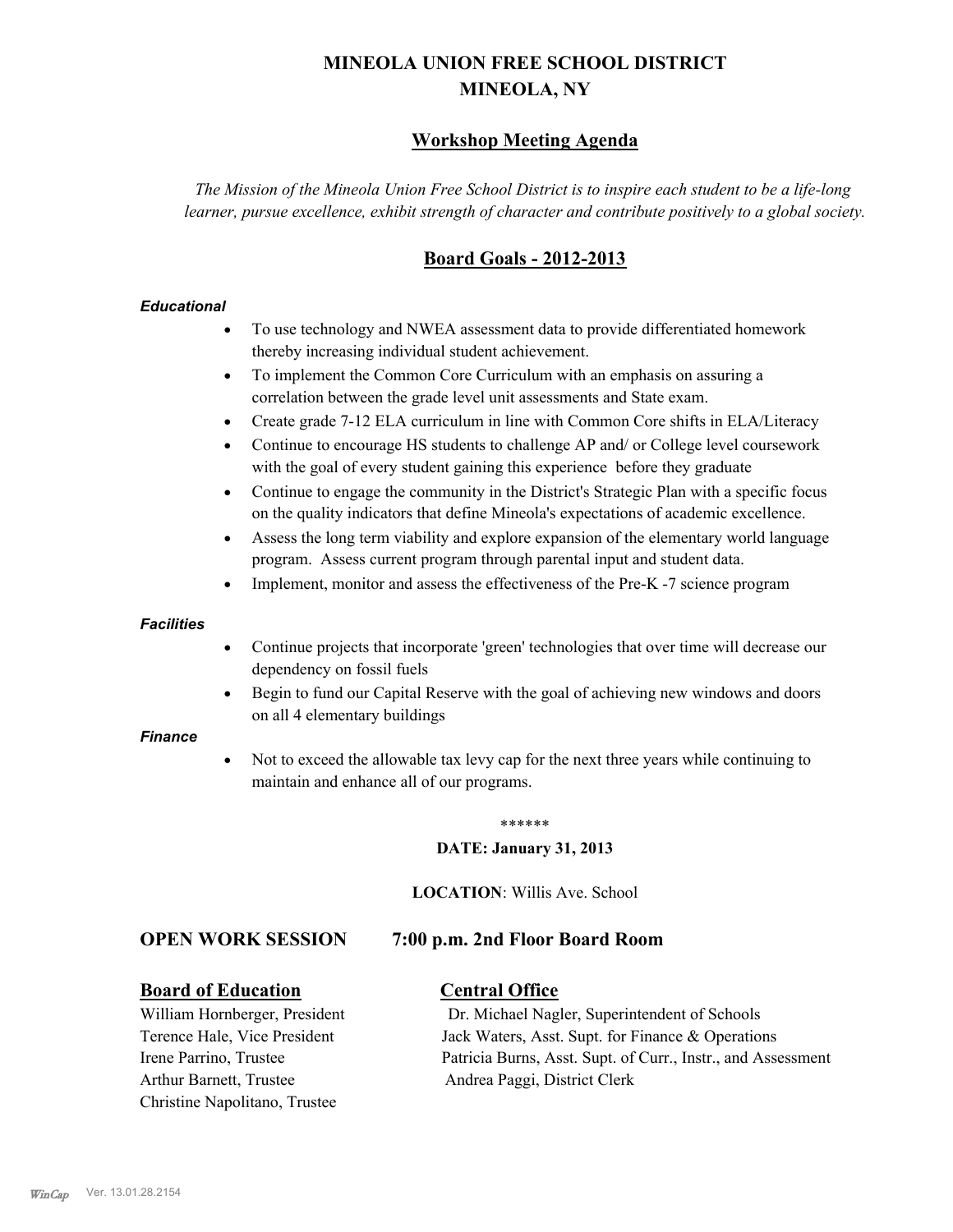# **MINEOLA UNION FREE SCHOOL DISTRICT MINEOLA, NY**

# **Workshop Meeting Agenda**

*The Mission of the Mineola Union Free School District is to inspire each student to be a life-long learner, pursue excellence, exhibit strength of character and contribute positively to a global society.*

# **Board Goals - 2012-2013**

#### *Educational*

- · To use technology and NWEA assessment data to provide differentiated homework thereby increasing individual student achievement.
- · To implement the Common Core Curriculum with an emphasis on assuring a correlation between the grade level unit assessments and State exam.
- Create grade 7-12 ELA curriculum in line with Common Core shifts in ELA/Literacy
- Continue to encourage HS students to challenge AP and/ or College level coursework with the goal of every student gaining this experience before they graduate
- · Continue to engage the community in the District's Strategic Plan with a specific focus on the quality indicators that define Mineola's expectations of academic excellence.
- Assess the long term viability and explore expansion of the elementary world language program. Assess current program through parental input and student data.
- Implement, monitor and assess the effectiveness of the Pre-K -7 science program

#### *Facilities*

- · Continue projects that incorporate 'green' technologies that over time will decrease our dependency on fossil fuels
- Begin to fund our Capital Reserve with the goal of achieving new windows and doors on all 4 elementary buildings

#### *Finance*

Not to exceed the allowable tax levy cap for the next three years while continuing to maintain and enhance all of our programs.

#### \*\*\*\*\*\*

#### **DATE: January 31, 2013**

**LOCATION**: Willis Ave. School

## **OPEN WORK SESSION 7:00 p.m. 2nd Floor Board Room**

## **Board of Education Central Office**

Arthur Barnett, Trustee Andrea Paggi, District Clerk Christine Napolitano, Trustee

William Hornberger, President Dr. Michael Nagler, Superintendent of Schools Terence Hale, Vice President Jack Waters, Asst. Supt. for Finance & Operations Irene Parrino, Trustee Patricia Burns, Asst. Supt. of Curr., Instr., and Assessment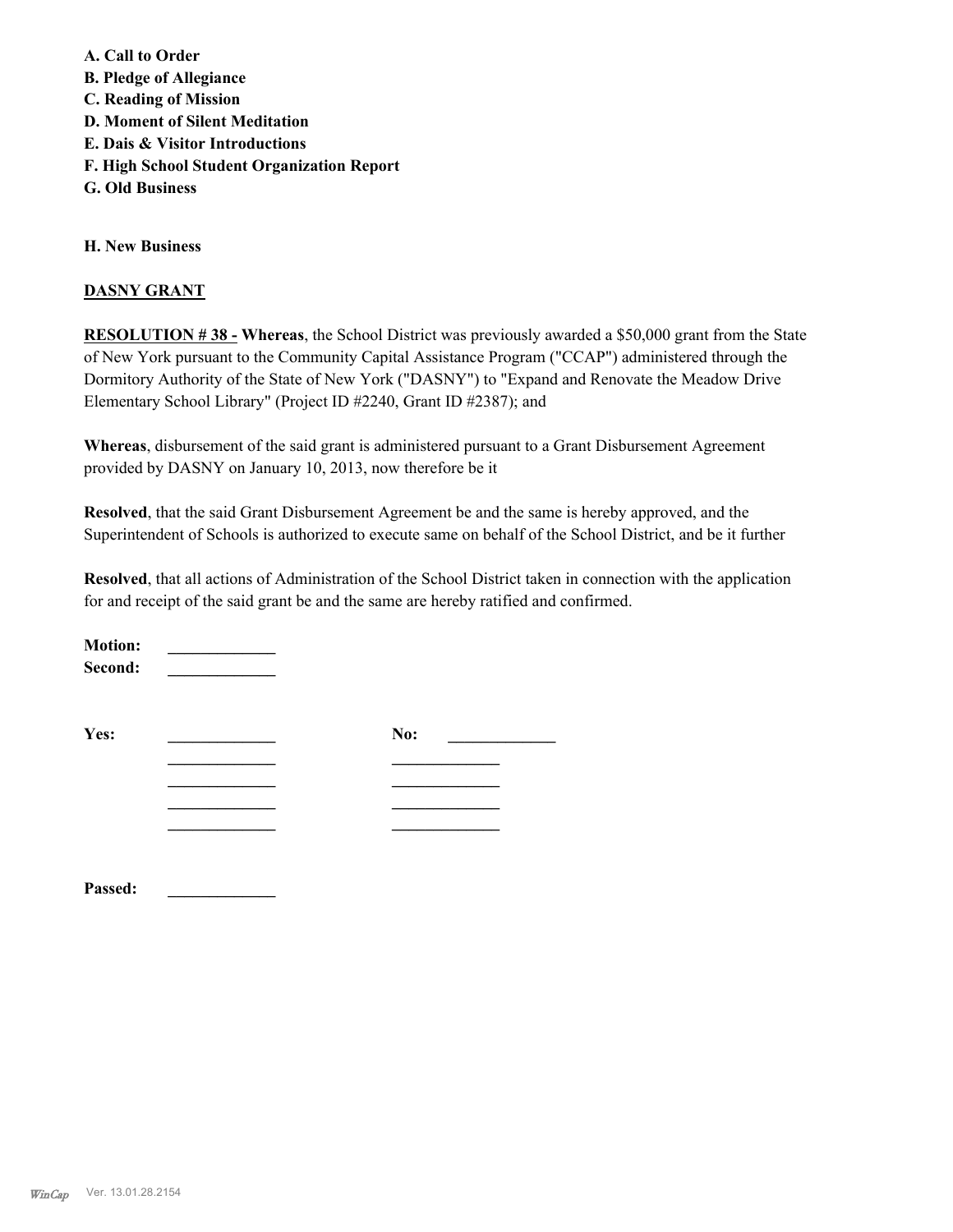**A. Call to Order B. Pledge of Allegiance C. Reading of Mission D. Moment of Silent Meditation E. Dais & Visitor Introductions F. High School Student Organization Report G. Old Business**

**H. New Business**

#### **DASNY GRANT**

**RESOLUTION # 38 - Whereas**, the School District was previously awarded a \$50,000 grant from the State of New York pursuant to the Community Capital Assistance Program ("CCAP") administered through the Dormitory Authority of the State of New York ("DASNY") to "Expand and Renovate the Meadow Drive Elementary School Library" (Project ID #2240, Grant ID #2387); and

**Whereas**, disbursement of the said grant is administered pursuant to a Grant Disbursement Agreement provided by DASNY on January 10, 2013, now therefore be it

**Resolved**, that the said Grant Disbursement Agreement be and the same is hereby approved, and the Superintendent of Schools is authorized to execute same on behalf of the School District, and be it further

**Resolved**, that all actions of Administration of the School District taken in connection with the application for and receipt of the said grant be and the same are hereby ratified and confirmed.

| <b>Motion:</b><br>Second: |     |  |
|---------------------------|-----|--|
| Yes:                      | No: |  |
|                           |     |  |
|                           |     |  |
|                           |     |  |
|                           |     |  |
|                           |     |  |

**Passed: \_\_\_\_\_\_\_\_\_\_\_\_\_**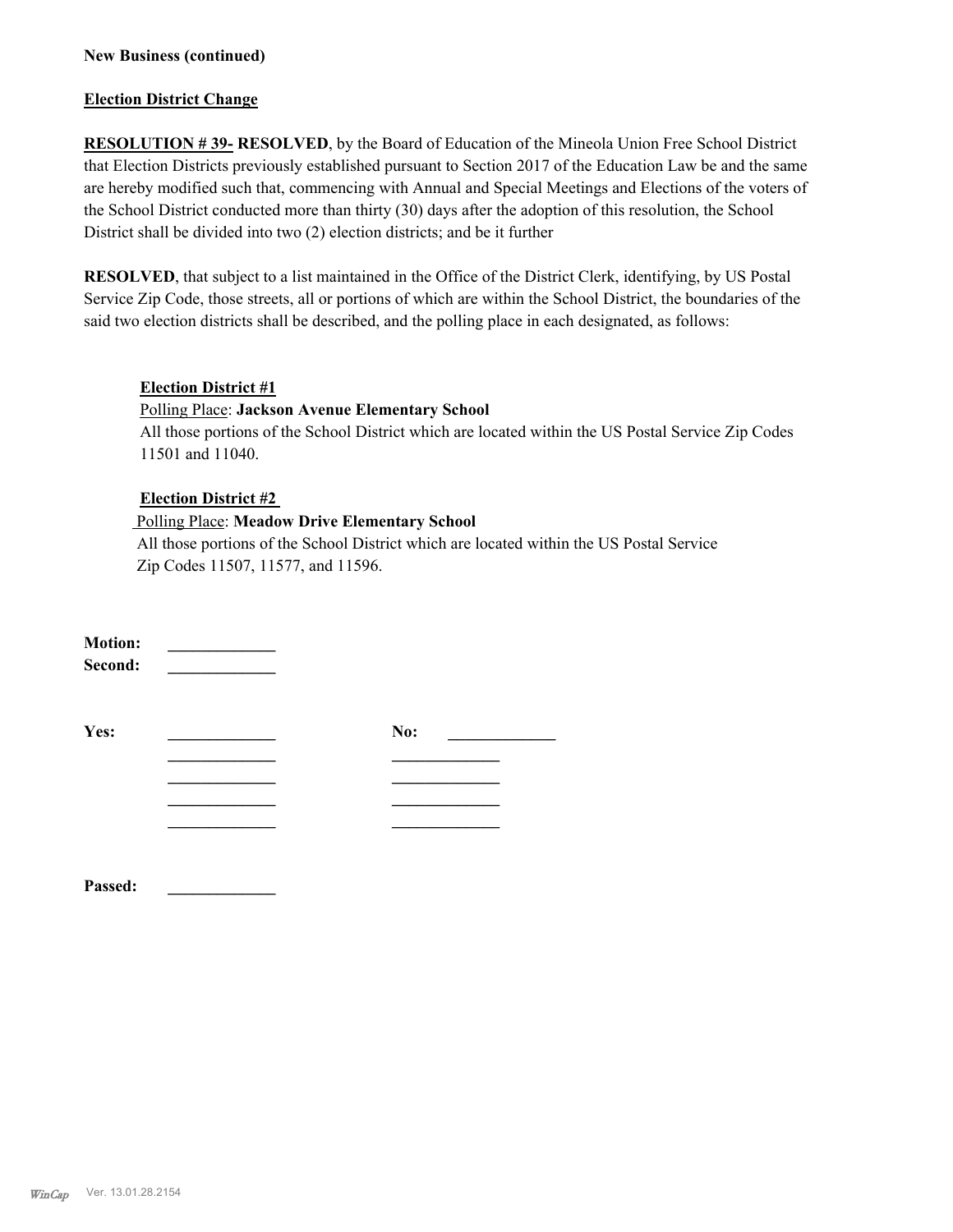#### **New Business (continued)**

#### **Election District Change**

**RESOLUTION # 39- RESOLVED**, by the Board of Education of the Mineola Union Free School District that Election Districts previously established pursuant to Section 2017 of the Education Law be and the same are hereby modified such that, commencing with Annual and Special Meetings and Elections of the voters of the School District conducted more than thirty (30) days after the adoption of this resolution, the School District shall be divided into two (2) election districts; and be it further

**RESOLVED**, that subject to a list maintained in the Office of the District Clerk, identifying, by US Postal Service Zip Code, those streets, all or portions of which are within the School District, the boundaries of the said two election districts shall be described, and the polling place in each designated, as follows:

#### **Election District #1**

#### Polling Place: **Jackson Avenue Elementary School**

All those portions of the School District which are located within the US Postal Service Zip Codes 11501 and 11040.

#### **Election District #2**

#### Polling Place: **Meadow Drive Elementary School**

 All those portions of the School District which are located within the US Postal Service Zip Codes 11507, 11577, and 11596.

| <b>Motion:</b><br>Second: |     |  |
|---------------------------|-----|--|
| Yes:                      | No: |  |
|                           |     |  |
|                           |     |  |
|                           |     |  |
|                           |     |  |
|                           |     |  |

**Passed: \_\_\_\_\_\_\_\_\_\_\_\_\_**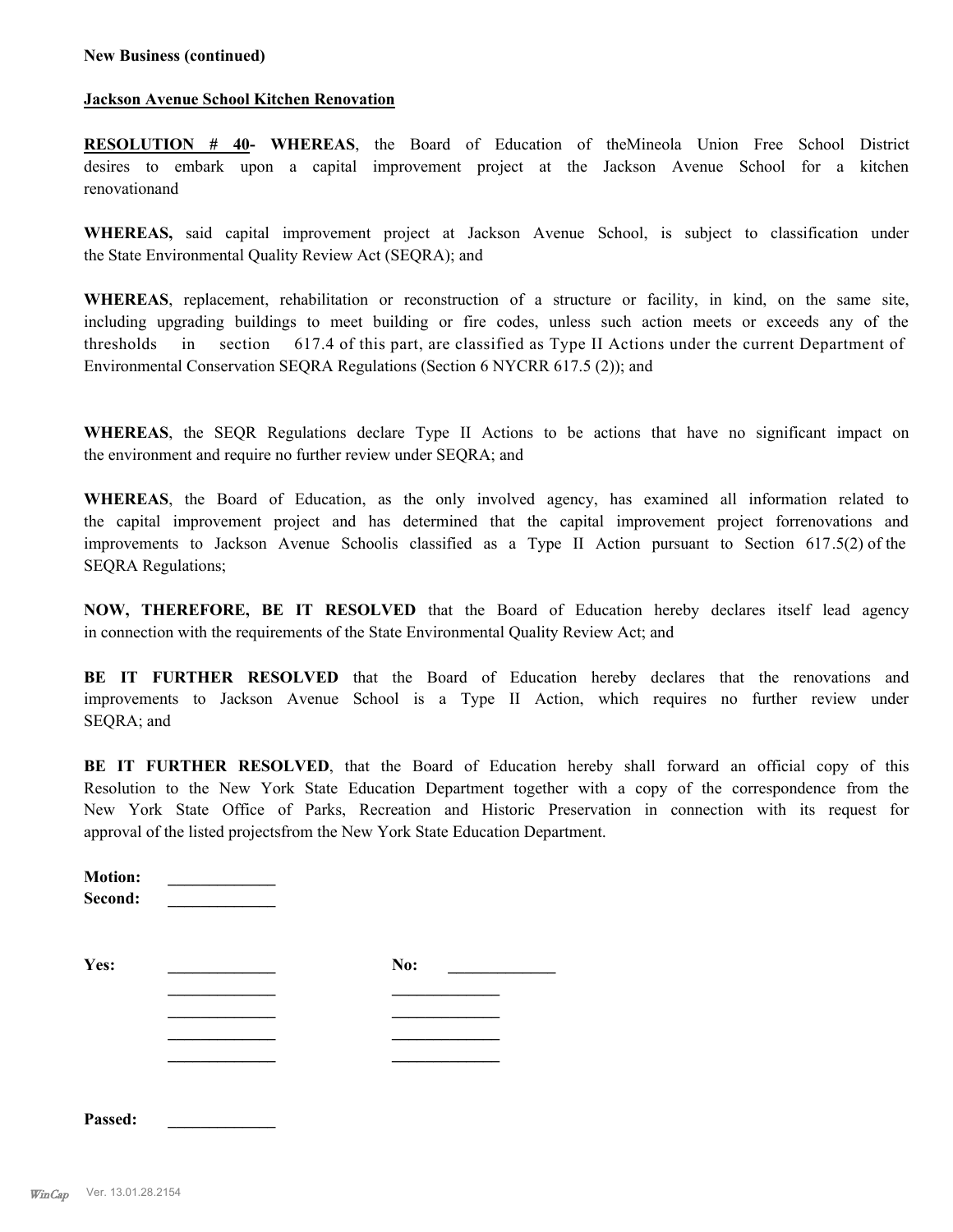#### **New Business (continued)**

#### **Jackson Avenue School Kitchen Renovation**

**RESOLUTION # 40- WHEREAS**, the Board of Education of theMineola Union Free School District desires to embark upon a capital improvement project at the Jackson Avenue School for a kitchen renovationand

**WHEREAS,** said capital improvement project at Jackson Avenue School, is subject to classification under the State Environmental Quality Review Act (SEQRA); and

**WHEREAS**, replacement, rehabilitation or reconstruction of a structure or facility, in kind, on the same site, including upgrading buildings to meet building or fire codes, unless such action meets or exceeds any of the thresholds in section 617.4 of this part, are classified as Type II Actions under the current Department of Environmental Conservation SEQRA Regulations (Section 6 NYCRR 617.5 (2)); and

**WHEREAS**, the SEQR Regulations declare Type II Actions to be actions that have no significant impact on the environment and require no further review under SEQRA; and

**WHEREAS**, the Board of Education, as the only involved agency, has examined all information related to the capital improvement project and has determined that the capital improvement project forrenovations and improvements to Jackson Avenue Schoolis classified as a Type II Action pursuant to Section 617.5(2) of the SEQRA Regulations;

**NOW, THEREFORE, BE IT RESOLVED** that the Board of Education hereby declares itself lead agency in connection with the requirements of the State Environmental Quality Review Act; and

**BE IT FURTHER RESOLVED** that the Board of Education hereby declares that the renovations and improvements to Jackson Avenue School is a Type II Action, which requires no further review under SEQRA; and

**BE IT FURTHER RESOLVED**, that the Board of Education hereby shall forward an official copy of this Resolution to the New York State Education Department together with a copy of the correspondence from the New York State Office of Parks, Recreation and Historic Preservation in connection with its request for approval of the listed projectsfrom the New York State Education Department.

| <b>Motion:</b><br>Second: |     |
|---------------------------|-----|
| Yes:                      | No: |
|                           |     |
|                           |     |
|                           |     |
| Passed.                   |     |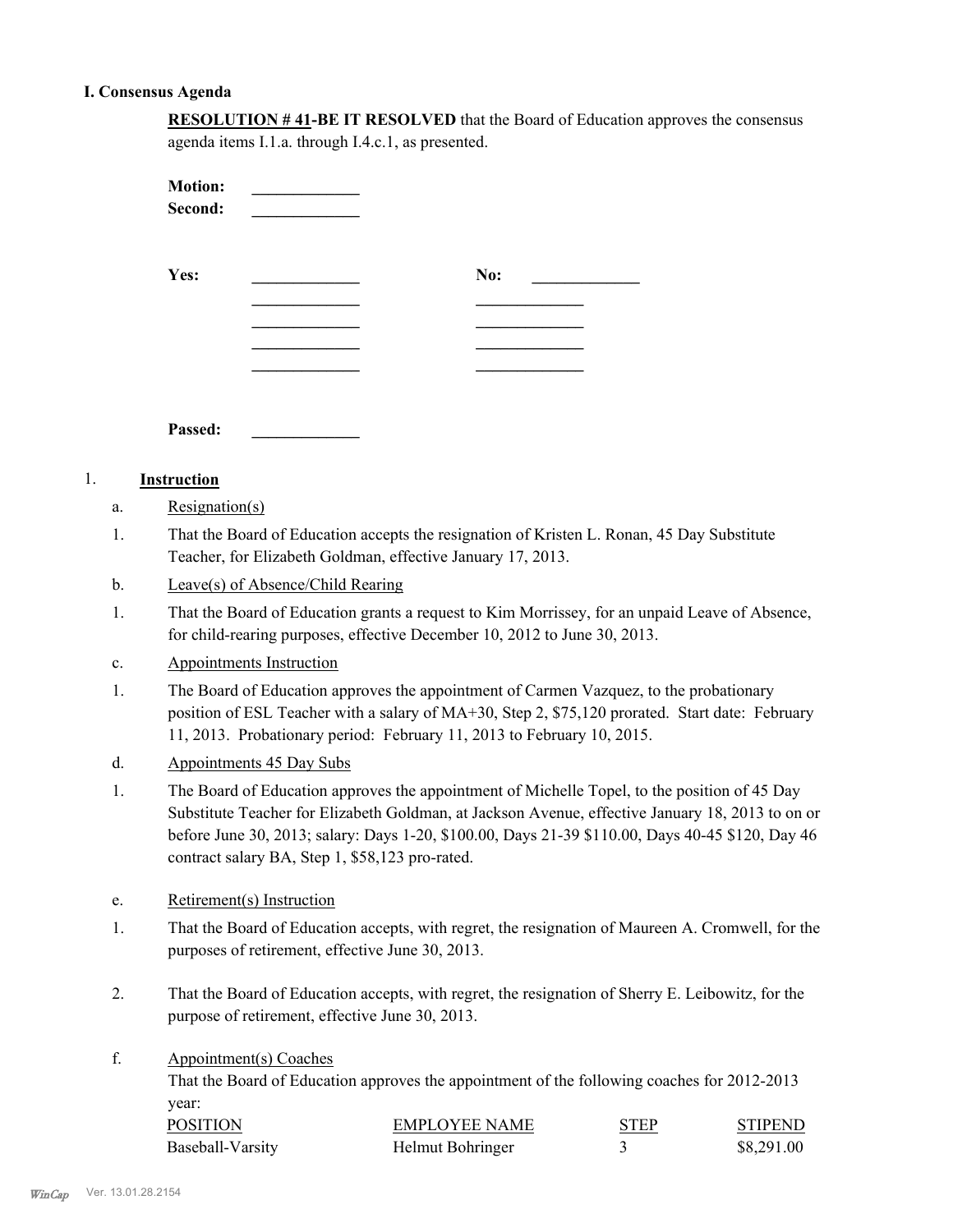#### **I. Consensus Agenda**

| <b>RESOLUTION #41-BE IT RESOLVED</b> that the Board of Education approves the consensus |
|-----------------------------------------------------------------------------------------|
| agenda items I.1.a. through I.4.c.1, as presented.                                      |

| <b>Motion:</b><br>Second: |     |
|---------------------------|-----|
| Yes:                      | No: |
|                           |     |
|                           |     |
|                           |     |
|                           |     |
|                           |     |
|                           |     |

**Passed: \_\_\_\_\_\_\_\_\_\_\_\_\_**

## 1. **Instruction**

- a. Resignation(s)
- That the Board of Education accepts the resignation of Kristen L. Ronan, 45 Day Substitute Teacher, for Elizabeth Goldman, effective January 17, 2013. 1.
- b. Leave(s) of Absence/Child Rearing
- That the Board of Education grants a request to Kim Morrissey, for an unpaid Leave of Absence, for child-rearing purposes, effective December 10, 2012 to June 30, 2013. 1.
- c. Appointments Instruction
- The Board of Education approves the appointment of Carmen Vazquez, to the probationary position of ESL Teacher with a salary of MA+30, Step 2, \$75,120 prorated. Start date: February 11, 2013. Probationary period: February 11, 2013 to February 10, 2015. 1.
- d. Appointments 45 Day Subs
- The Board of Education approves the appointment of Michelle Topel, to the position of 45 Day Substitute Teacher for Elizabeth Goldman, at Jackson Avenue, effective January 18, 2013 to on or before June 30, 2013; salary: Days 1-20, \$100.00, Days 21-39 \$110.00, Days 40-45 \$120, Day 46 contract salary BA, Step 1, \$58,123 pro-rated. 1.
- e. Retirement(s) Instruction
- That the Board of Education accepts, with regret, the resignation of Maureen A. Cromwell, for the purposes of retirement, effective June 30, 2013. 1.
- That the Board of Education accepts, with regret, the resignation of Sherry E. Leibowitz, for the purpose of retirement, effective June 30, 2013. 2.
- Appointment(s) Coaches f.

That the Board of Education approves the appointment of the following coaches for 2012-2013 year:

| <b>POSITION</b>  | <b>EMPLOYEE NAME</b> | <b>STEP</b> | STIPEND    |
|------------------|----------------------|-------------|------------|
| Baseball-Varsity | Helmut Bohringer     |             | \$8,291.00 |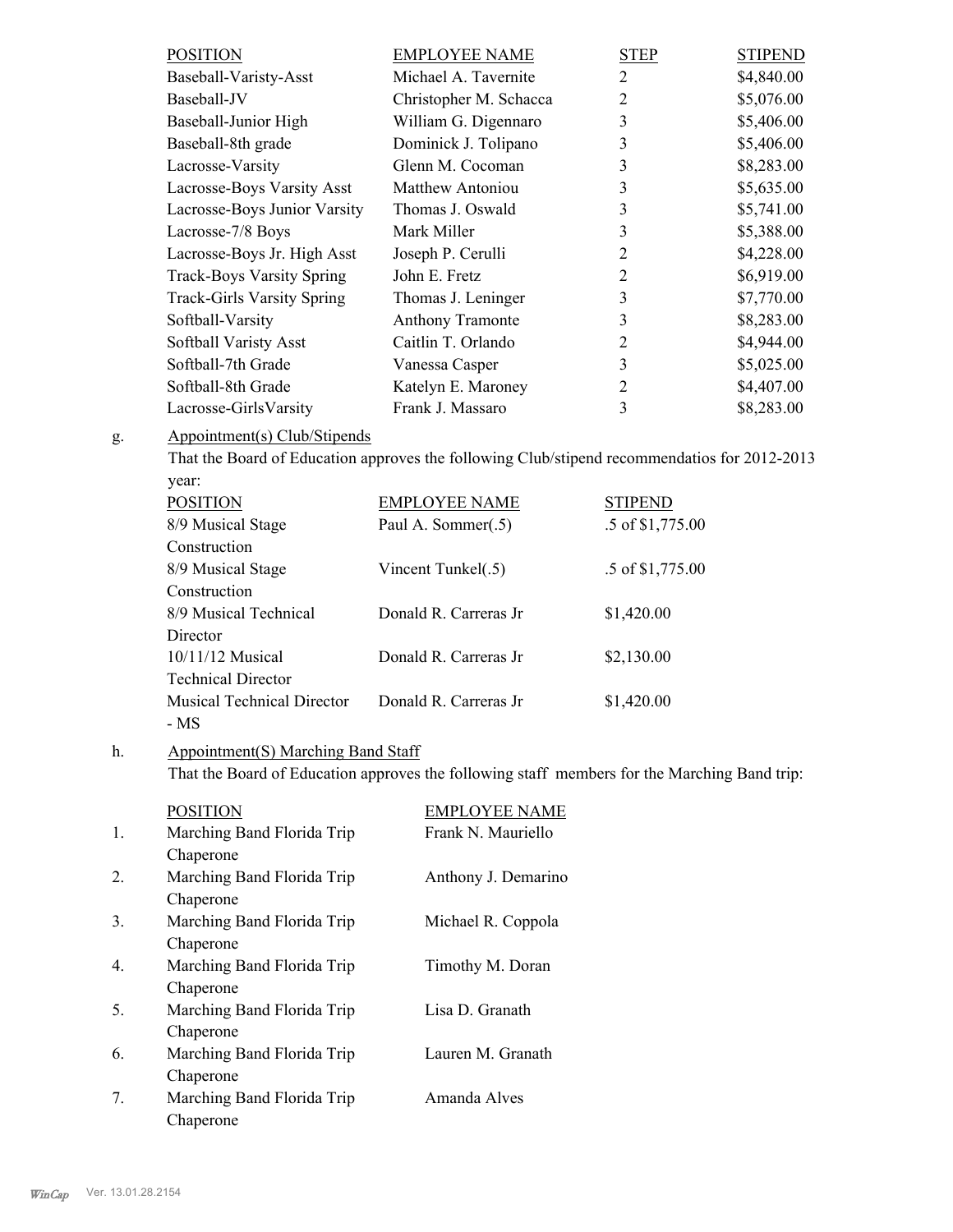| <b>POSITION</b>                   | <b>EMPLOYEE NAME</b>    | <b>STEP</b>    | <b>STIPEND</b> |
|-----------------------------------|-------------------------|----------------|----------------|
| Baseball-Varisty-Asst             | Michael A. Tavernite    | $\overline{2}$ | \$4,840.00     |
| Baseball-JV                       | Christopher M. Schacca  | $\overline{2}$ | \$5,076.00     |
| Baseball-Junior High              | William G. Digennaro    | 3              | \$5,406.00     |
| Baseball-8th grade                | Dominick J. Tolipano    | 3              | \$5,406.00     |
| Lacrosse-Varsity                  | Glenn M. Cocoman        | 3              | \$8,283.00     |
| Lacrosse-Boys Varsity Asst        | Matthew Antoniou        | 3              | \$5,635.00     |
| Lacrosse-Boys Junior Varsity      | Thomas J. Oswald        | 3              | \$5,741.00     |
| Lacrosse-7/8 Boys                 | Mark Miller             | 3              | \$5,388.00     |
| Lacrosse-Boys Jr. High Asst       | Joseph P. Cerulli       | 2              | \$4,228.00     |
| <b>Track-Boys Varsity Spring</b>  | John E. Fretz           | 2              | \$6,919.00     |
| <b>Track-Girls Varsity Spring</b> | Thomas J. Leninger      | 3              | \$7,770.00     |
| Softball-Varsity                  | <b>Anthony Tramonte</b> | 3              | \$8,283.00     |
| Softball Varisty Asst             | Caitlin T. Orlando      | 2              | \$4,944.00     |
| Softball-7th Grade                | Vanessa Casper          | 3              | \$5,025.00     |
| Softball-8th Grade                | Katelyn E. Maroney      | 2              | \$4,407.00     |
| Lacrosse-GirlsVarsity             | Frank J. Massaro        | 3              | \$8,283.00     |
|                                   |                         |                |                |

#### Appointment(s) Club/Stipends g.

That the Board of Education approves the following Club/stipend recommendatios for 2012-2013 year:

| <b>POSITION</b>                   | <b>EMPLOYEE NAME</b>   | <b>STIPEND</b>   |
|-----------------------------------|------------------------|------------------|
| 8/9 Musical Stage                 | Paul A. Sommer(.5)     | .5 of \$1,775.00 |
| Construction                      |                        |                  |
| 8/9 Musical Stage                 | Vincent Tunkel(.5)     | .5 of \$1,775.00 |
| Construction                      |                        |                  |
| 8/9 Musical Technical             | Donald R. Carreras Jr. | \$1,420.00       |
| Director                          |                        |                  |
| $10/11/12$ Musical                | Donald R. Carreras Jr  | \$2,130.00       |
| <b>Technical Director</b>         |                        |                  |
| <b>Musical Technical Director</b> | Donald R. Carreras Jr  | \$1,420.00       |
| - MS                              |                        |                  |

#### Appointment(S) Marching Band Staff h.

That the Board of Education approves the following staff members for the Marching Band trip:

|    | <b>POSITION</b>            | EMPLOYEE NAME       |
|----|----------------------------|---------------------|
| 1. | Marching Band Florida Trip | Frank N. Mauriello  |
|    | Chaperone                  |                     |
| 2. | Marching Band Florida Trip | Anthony J. Demarino |
|    | Chaperone                  |                     |
| 3. | Marching Band Florida Trip | Michael R. Coppola  |
|    | Chaperone                  |                     |
| 4  | Marching Band Florida Trip | Timothy M. Doran    |
|    | Chaperone                  |                     |
| 5. | Marching Band Florida Trip | Lisa D. Granath     |
|    | Chaperone                  |                     |
| 6. | Marching Band Florida Trip | Lauren M. Granath   |
|    | Chaperone                  |                     |
| 7. | Marching Band Florida Trip | Amanda Alves        |
|    | Chaperone                  |                     |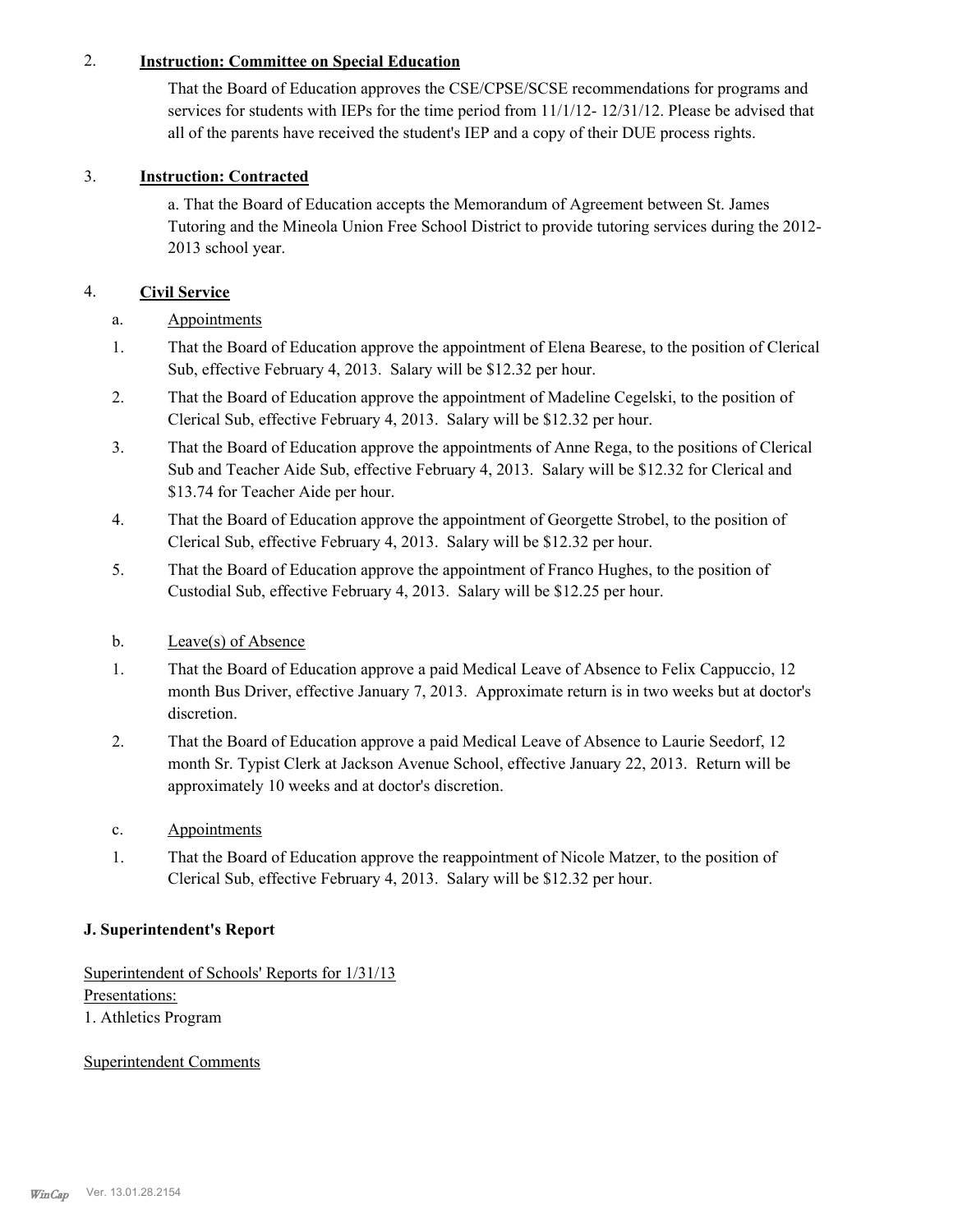## 2. **Instruction: Committee on Special Education**

That the Board of Education approves the CSE/CPSE/SCSE recommendations for programs and services for students with IEPs for the time period from 11/1/12- 12/31/12. Please be advised that all of the parents have received the student's IEP and a copy of their DUE process rights.

# 3. **Instruction: Contracted**

a. That the Board of Education accepts the Memorandum of Agreement between St. James Tutoring and the Mineola Union Free School District to provide tutoring services during the 2012- 2013 school year.

# 4. **Civil Service**

- a. Appointments
- That the Board of Education approve the appointment of Elena Bearese, to the position of Clerical Sub, effective February 4, 2013. Salary will be \$12.32 per hour. 1.
- That the Board of Education approve the appointment of Madeline Cegelski, to the position of Clerical Sub, effective February 4, 2013. Salary will be \$12.32 per hour. 2.
- That the Board of Education approve the appointments of Anne Rega, to the positions of Clerical Sub and Teacher Aide Sub, effective February 4, 2013. Salary will be \$12.32 for Clerical and \$13.74 for Teacher Aide per hour. 3.
- That the Board of Education approve the appointment of Georgette Strobel, to the position of Clerical Sub, effective February 4, 2013. Salary will be \$12.32 per hour. 4.
- That the Board of Education approve the appointment of Franco Hughes, to the position of Custodial Sub, effective February 4, 2013. Salary will be \$12.25 per hour. 5.

## b. Leave(s) of Absence

- That the Board of Education approve a paid Medical Leave of Absence to Felix Cappuccio, 12 month Bus Driver, effective January 7, 2013. Approximate return is in two weeks but at doctor's discretion. 1.
- That the Board of Education approve a paid Medical Leave of Absence to Laurie Seedorf, 12 month Sr. Typist Clerk at Jackson Avenue School, effective January 22, 2013. Return will be approximately 10 weeks and at doctor's discretion. 2.
- c. Appointments
- That the Board of Education approve the reappointment of Nicole Matzer, to the position of Clerical Sub, effective February 4, 2013. Salary will be \$12.32 per hour. 1.

## **J. Superintendent's Report**

Superintendent of Schools' Reports for 1/31/13 Presentations: 1. Athletics Program

## Superintendent Comments